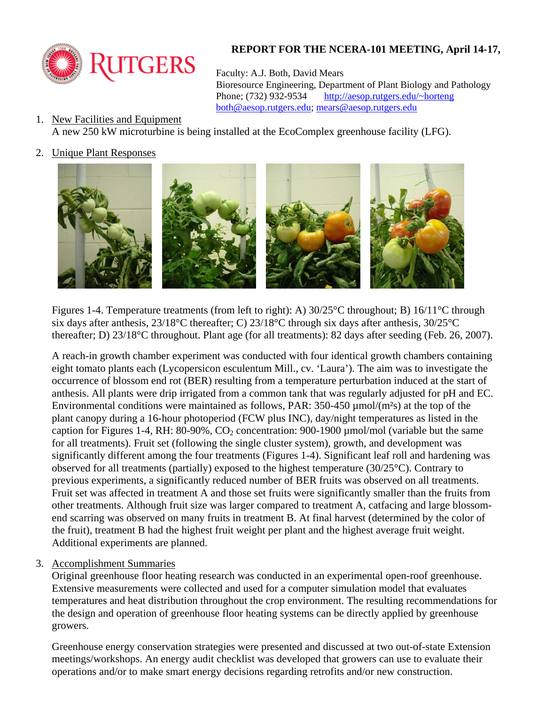

## **REPORT FOR THE NCERA-101 MEETING, April 14-17,**

Faculty: A.J. Both, David Mears

 Bioresource Engineering, Department of Plant Biology and Pathology Phone; (732) 932-9534 http://aesop.rutgers.edu/~horteng both@aesop.rutgers.edu; mears@aesop.rutgers.edu

- 1. New Facilities and Equipment A new 250 kW microturbine is being installed at the EcoComplex greenhouse facility (LFG).
- 2. Unique Plant Responses



Figures 1-4. Temperature treatments (from left to right): A) 30/25°C throughout; B) 16/11°C through six days after anthesis, 23/18°C thereafter; C) 23/18°C through six days after anthesis, 30/25°C thereafter; D) 23/18°C throughout. Plant age (for all treatments): 82 days after seeding (Feb. 26, 2007).

A reach-in growth chamber experiment was conducted with four identical growth chambers containing eight tomato plants each (Lycopersicon esculentum Mill., cv. 'Laura'). The aim was to investigate the occurrence of blossom end rot (BER) resulting from a temperature perturbation induced at the start of anthesis. All plants were drip irrigated from a common tank that was regularly adjusted for pH and EC. Environmental conditions were maintained as follows, PAR:  $350-450 \mu$  mol/(m<sup>2</sup>s) at the top of the plant canopy during a 16-hour photoperiod (FCW plus INC), day/night temperatures as listed in the caption for Figures 1-4, RH: 80-90%,  $CO_2$  concentration: 900-1900 µmol/mol (variable but the same for all treatments). Fruit set (following the single cluster system), growth, and development was significantly different among the four treatments (Figures 1-4). Significant leaf roll and hardening was observed for all treatments (partially) exposed to the highest temperature (30/25°C). Contrary to previous experiments, a significantly reduced number of BER fruits was observed on all treatments. Fruit set was affected in treatment A and those set fruits were significantly smaller than the fruits from other treatments. Although fruit size was larger compared to treatment A, catfacing and large blossomend scarring was observed on many fruits in treatment B. At final harvest (determined by the color of the fruit), treatment B had the highest fruit weight per plant and the highest average fruit weight. Additional experiments are planned.

3. Accomplishment Summaries

Original greenhouse floor heating research was conducted in an experimental open-roof greenhouse. Extensive measurements were collected and used for a computer simulation model that evaluates temperatures and heat distribution throughout the crop environment. The resulting recommendations for the design and operation of greenhouse floor heating systems can be directly applied by greenhouse growers.

Greenhouse energy conservation strategies were presented and discussed at two out-of-state Extension meetings/workshops. An energy audit checklist was developed that growers can use to evaluate their operations and/or to make smart energy decisions regarding retrofits and/or new construction.